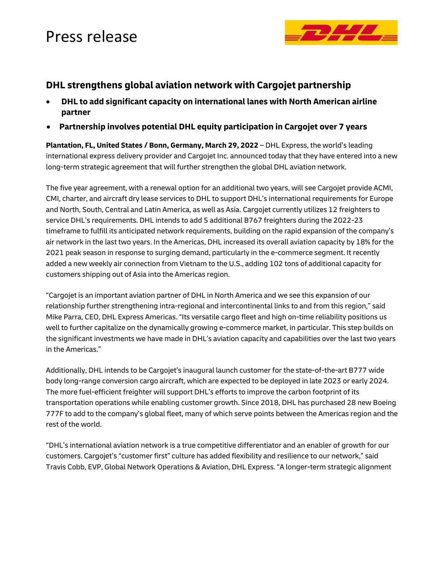### Press release



### **DHL strengthens global aviation network with Cargojet partnership**

- **DHL to add significant capacity on international lanes with North American airline partner**
- **Partnership involves potential DHL equity participation in Cargojet over 7 years**

**Plantation, FL, United States / Bonn, Germany, March 29, 2022** – DHL Express, the world's leading international express delivery provider and Cargojet Inc. announced today that they have entered into a new long-term strategic agreement that will further strengthen the global DHL aviation network.

The five year agreement, with a renewal option for an additional two years, will see Cargojet provide ACMI, CMI, charter, and aircraft dry lease services to DHL to support DHL's international requirements for Europe and North, South, Central and Latin America, as well as Asia. Cargojet currently utilizes 12 freighters to service DHL's requirements. DHL intends to add 5 additional B767 freighters during the 2022-23 timeframe to fulfill its anticipated network requirements, building on the rapid expansion of the company's air network in the last two years. In the Americas, DHL increased its overall aviation capacity by 18% for the 2021 peak season in response to surging demand, particularly in the e-commerce segment. It recently added a new weekly air connection from Vietnam to the U.S., adding 102 tons of additional capacity for customers shipping out of Asia into the Americas region.

"Cargojet is an important aviation partner of DHL in North America and we see this expansion of our relationship further strengthening intra-regional and intercontinental links to and from this region," said Mike Parra, CEO, DHL Express Americas. "Its versatile cargo fleet and high on-time reliability positions us well to further capitalize on the dynamically growing e-commerce market, in particular. This step builds on the significant investments we have made in DHL's aviation capacity and capabilities over the last two years in the Americas."

Additionally, DHL intends to be Cargojet's inaugural launch customer for the state-of-the-art B777 wide body long-range conversion cargo aircraft, which are expected to be deployed in late 2023 or early 2024. The more fuel-efficient freighter will support DHL's efforts to improve the carbon footprint of its transportation operations while enabling customer growth. Since 2018, DHL has purchased 28 new Boeing 777F to add to the company's global fleet, many of which serve points between the Americas region and the rest of the world.

"DHL's international aviation network is a true competitive differentiator and an enabler of growth for our customers. Cargojet's "customer first" culture has added flexibility and resilience to our network," said Travis Cobb, EVP, Global Network Operations & Aviation, DHL Express. "A longer-term strategic alignment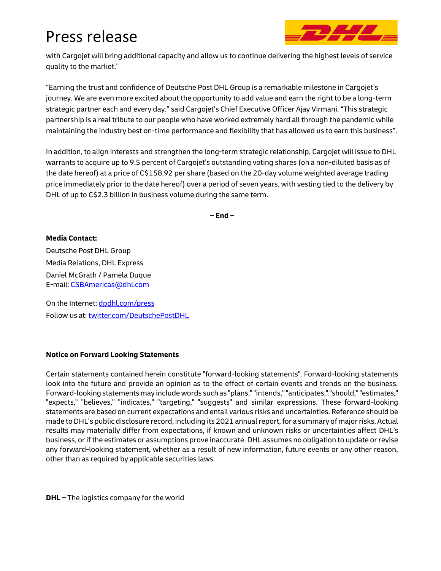# Press release



with Cargojet will bring additional capacity and allow us to continue delivering the highest levels of service quality to the market."

"Earning the trust and confidence of Deutsche Post DHL Group is a remarkable milestone in Cargojet's journey. We are even more excited about the opportunity to add value and earn the right to be a long-term strategic partner each and every day." said Cargojet's Chief Executive Officer Ajay Virmani. "This strategic partnership is a real tribute to our people who have worked extremely hard all through the pandemic while maintaining the industry best on-time performance and flexibility that has allowed us to earn this business".

In addition, to align interests and strengthen the long-term strategic relationship, Cargojet will issue to DHL warrants to acquire up to 9.5 percent of Cargojet's outstanding voting shares (on a non-diluted basis as of the date hereof) at a price of C\$158.92 per share (based on the 20-day volume weighted average trading price immediately prior to the date hereof) over a period of seven years, with vesting tied to the delivery by DHL of up to C\$2.3 billion in business volume during the same term.

**– End –**

#### **Media Contact:**

Deutsche Post DHL Group Media Relations, DHL Express Daniel McGrath / Pamela Duque E-mail: [CSBAmericas@dhl.com](mailto:CSBAmericas@dhl.com)

On the Internet: [dpdhl.com/press](https://www.dpdhl.com/press) Follow us at[: twitter.com/DeutschePostDHL](https://www.twitter.com/DeutschePostDHL)

#### **Notice on Forward Looking Statements**

Certain statements contained herein constitute "forward-looking statements". Forward-looking statements look into the future and provide an opinion as to the effect of certain events and trends on the business. Forward-looking statements may include words such as "plans," "intends," "anticipates," "should," "estimates," "expects," "believes," "indicates," "targeting," "suggests" and similar expressions. These forward-looking statements are based on current expectations and entail various risks and uncertainties. Reference should be made to DHL's public disclosure record, including its 2021 annual report, for a summary of major risks. Actual results may materially differ from expectations, if known and unknown risks or uncertainties affect DHL's business, or if the estimates or assumptions prove inaccurate. DHL assumes no obligation to update or revise any forward-looking statement, whether as a result of new information, future events or any other reason, other than as required by applicable securities laws.

**DHL –** The logistics company for the world